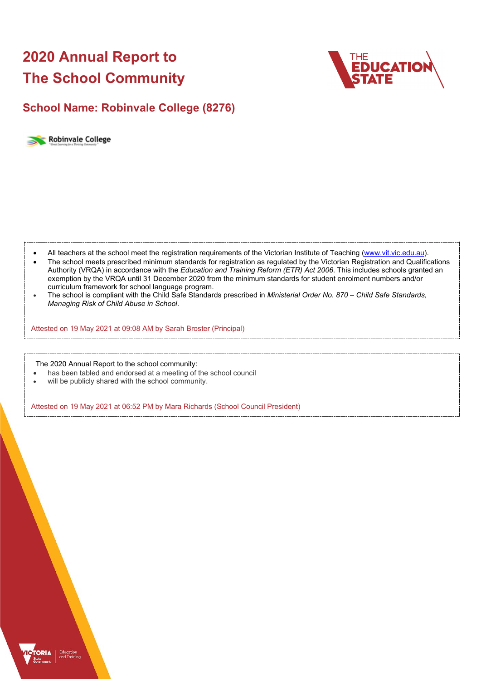# **2020 Annual Report to The School Community**



## **School Name: Robinvale College (8276)**



- All teachers at the school meet the registration requirements of the Victorian Institute of Teaching [\(www.vit.vic.edu.au\)](https://www.vit.vic.edu.au/).
- The school meets prescribed minimum standards for registration as regulated by the Victorian Registration and Qualifications Authority (VRQA) in accordance with the *Education and Training Reform (ETR) Act 2006*. This includes schools granted an exemption by the VRQA until 31 December 2020 from the minimum standards for student enrolment numbers and/or curriculum framework for school language program.
- The school is compliant with the Child Safe Standards prescribed in *Ministerial Order No. 870 – Child Safe Standards, Managing Risk of Child Abuse in School*.

Attested on 19 May 2021 at 09:08 AM by Sarah Broster (Principal)

The 2020 Annual Report to the school community:

- has been tabled and endorsed at a meeting of the school council
- will be publicly shared with the school community.

Attested on 19 May 2021 at 06:52 PM by Mara Richards (School Council President)

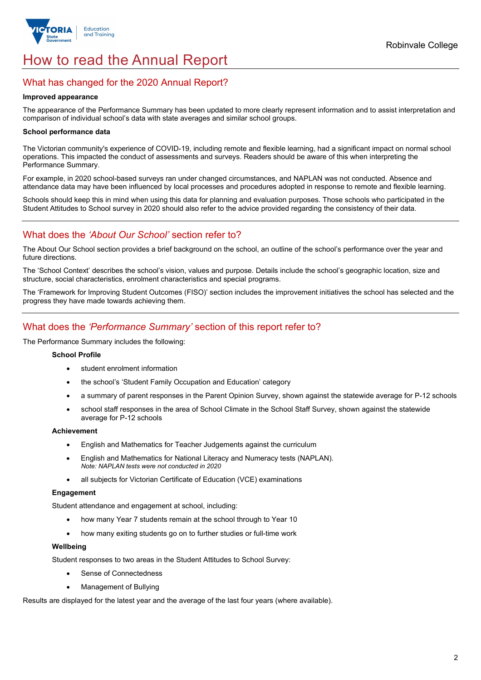

## How to read the Annual Report

### What has changed for the 2020 Annual Report?

#### **Improved appearance**

The appearance of the Performance Summary has been updated to more clearly represent information and to assist interpretation and comparison of individual school's data with state averages and similar school groups.

#### **School performance data**

The Victorian community's experience of COVID-19, including remote and flexible learning, had a significant impact on normal school operations. This impacted the conduct of assessments and surveys. Readers should be aware of this when interpreting the Performance Summary.

For example, in 2020 school-based surveys ran under changed circumstances, and NAPLAN was not conducted. Absence and attendance data may have been influenced by local processes and procedures adopted in response to remote and flexible learning.

Schools should keep this in mind when using this data for planning and evaluation purposes. Those schools who participated in the Student Attitudes to School survey in 2020 should also refer to the advice provided regarding the consistency of their data.

## What does the *'About Our School'* section refer to?

The About Our School section provides a brief background on the school, an outline of the school's performance over the year and future directions.

The 'School Context' describes the school's vision, values and purpose. Details include the school's geographic location, size and structure, social characteristics, enrolment characteristics and special programs.

The 'Framework for Improving Student Outcomes (FISO)' section includes the improvement initiatives the school has selected and the progress they have made towards achieving them.

### What does the *'Performance Summary'* section of this report refer to?

The Performance Summary includes the following:

#### **School Profile**

- student enrolment information
- the school's 'Student Family Occupation and Education' category
- a summary of parent responses in the Parent Opinion Survey, shown against the statewide average for P-12 schools
- school staff responses in the area of School Climate in the School Staff Survey, shown against the statewide average for P-12 schools

#### **Achievement**

- English and Mathematics for Teacher Judgements against the curriculum
- English and Mathematics for National Literacy and Numeracy tests (NAPLAN). *Note: NAPLAN tests were not conducted in 2020*
- all subjects for Victorian Certificate of Education (VCE) examinations

#### **Engagement**

Student attendance and engagement at school, including:

- how many Year 7 students remain at the school through to Year 10
- how many exiting students go on to further studies or full-time work

#### **Wellbeing**

Student responses to two areas in the Student Attitudes to School Survey:

- Sense of Connectedness
- Management of Bullying

Results are displayed for the latest year and the average of the last four years (where available).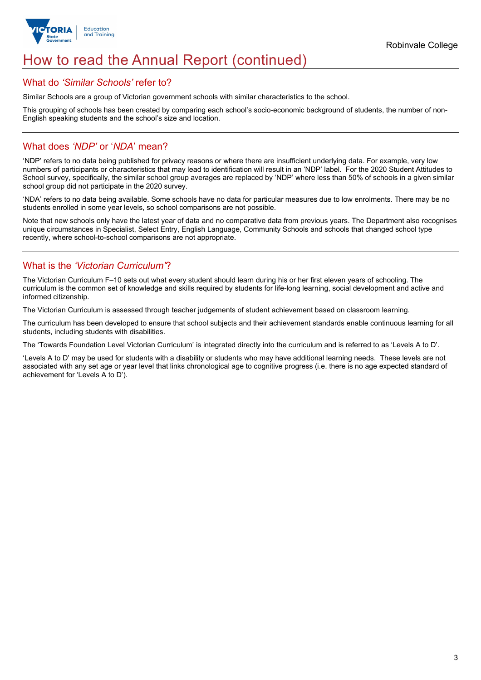

## How to read the Annual Report (continued)

#### What do *'Similar Schools'* refer to?

Similar Schools are a group of Victorian government schools with similar characteristics to the school.

This grouping of schools has been created by comparing each school's socio-economic background of students, the number of non-English speaking students and the school's size and location.

## What does *'NDP'* or '*NDA*' mean?

'NDP' refers to no data being published for privacy reasons or where there are insufficient underlying data. For example, very low numbers of participants or characteristics that may lead to identification will result in an 'NDP' label. For the 2020 Student Attitudes to School survey, specifically, the similar school group averages are replaced by 'NDP' where less than 50% of schools in a given similar school group did not participate in the 2020 survey.

'NDA' refers to no data being available. Some schools have no data for particular measures due to low enrolments. There may be no students enrolled in some year levels, so school comparisons are not possible.

Note that new schools only have the latest year of data and no comparative data from previous years. The Department also recognises unique circumstances in Specialist, Select Entry, English Language, Community Schools and schools that changed school type recently, where school-to-school comparisons are not appropriate.

## What is the *'Victorian Curriculum'*?

The Victorian Curriculum F–10 sets out what every student should learn during his or her first eleven years of schooling. The curriculum is the common set of knowledge and skills required by students for life-long learning, social development and active and informed citizenship.

The Victorian Curriculum is assessed through teacher judgements of student achievement based on classroom learning.

The curriculum has been developed to ensure that school subjects and their achievement standards enable continuous learning for all students, including students with disabilities.

The 'Towards Foundation Level Victorian Curriculum' is integrated directly into the curriculum and is referred to as 'Levels A to D'.

'Levels A to D' may be used for students with a disability or students who may have additional learning needs. These levels are not associated with any set age or year level that links chronological age to cognitive progress (i.e. there is no age expected standard of achievement for 'Levels A to D').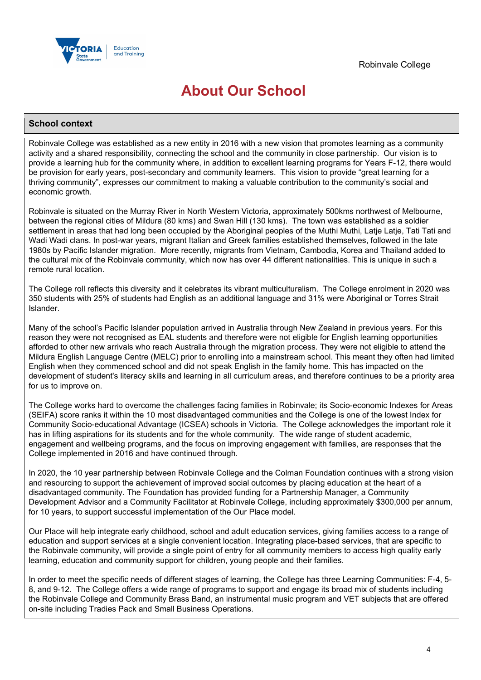

## **About Our School**

#### **School context**

Robinvale College was established as a new entity in 2016 with a new vision that promotes learning as a community activity and a shared responsibility, connecting the school and the community in close partnership. Our vision is to provide a learning hub for the community where, in addition to excellent learning programs for Years F-12, there would be provision for early years, post-secondary and community learners. This vision to provide "great learning for a thriving community", expresses our commitment to making a valuable contribution to the community's social and economic growth.

Robinvale is situated on the Murray River in North Western Victoria, approximately 500kms northwest of Melbourne, between the regional cities of Mildura (80 kms) and Swan Hill (130 kms). The town was established as a soldier settlement in areas that had long been occupied by the Aboriginal peoples of the Muthi Muthi, Latje Latje, Tati Tati and Wadi Wadi clans. In post-war years, migrant Italian and Greek families established themselves, followed in the late 1980s by Pacific Islander migration. More recently, migrants from Vietnam, Cambodia, Korea and Thailand added to the cultural mix of the Robinvale community, which now has over 44 different nationalities. This is unique in such a remote rural location.

The College roll reflects this diversity and it celebrates its vibrant multiculturalism. The College enrolment in 2020 was 350 students with 25% of students had English as an additional language and 31% were Aboriginal or Torres Strait Islander.

Many of the school's Pacific Islander population arrived in Australia through New Zealand in previous years. For this reason they were not recognised as EAL students and therefore were not eligible for English learning opportunities afforded to other new arrivals who reach Australia through the migration process. They were not eligible to attend the Mildura English Language Centre (MELC) prior to enrolling into a mainstream school. This meant they often had limited English when they commenced school and did not speak English in the family home. This has impacted on the development of student's literacy skills and learning in all curriculum areas, and therefore continues to be a priority area for us to improve on.

The College works hard to overcome the challenges facing families in Robinvale; its Socio-economic Indexes for Areas (SEIFA) score ranks it within the 10 most disadvantaged communities and the College is one of the lowest Index for Community Socio-educational Advantage (ICSEA) schools in Victoria. The College acknowledges the important role it has in lifting aspirations for its students and for the whole community. The wide range of student academic, engagement and wellbeing programs, and the focus on improving engagement with families, are responses that the College implemented in 2016 and have continued through.

In 2020, the 10 year partnership between Robinvale College and the Colman Foundation continues with a strong vision and resourcing to support the achievement of improved social outcomes by placing education at the heart of a disadvantaged community. The Foundation has provided funding for a Partnership Manager, a Community Development Advisor and a Community Facilitator at Robinvale College, including approximately \$300,000 per annum, for 10 years, to support successful implementation of the Our Place model.

Our Place will help integrate early childhood, school and adult education services, giving families access to a range of education and support services at a single convenient location. Integrating place-based services, that are specific to the Robinvale community, will provide a single point of entry for all community members to access high quality early learning, education and community support for children, young people and their families.

In order to meet the specific needs of different stages of learning, the College has three Learning Communities: F-4, 5- 8, and 9-12. The College offers a wide range of programs to support and engage its broad mix of students including the Robinvale College and Community Brass Band, an instrumental music program and VET subjects that are offered on-site including Tradies Pack and Small Business Operations.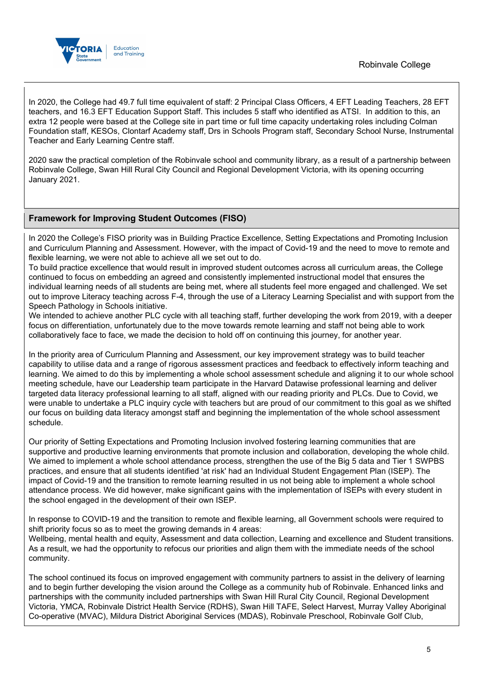



In 2020, the College had 49.7 full time equivalent of staff: 2 Principal Class Officers, 4 EFT Leading Teachers, 28 EFT teachers, and 16.3 EFT Education Support Staff. This includes 5 staff who identified as ATSI. In addition to this, an extra 12 people were based at the College site in part time or full time capacity undertaking roles including Colman Foundation staff, KESOs, Clontarf Academy staff, Drs in Schools Program staff, Secondary School Nurse, Instrumental Teacher and Early Learning Centre staff.

2020 saw the practical completion of the Robinvale school and community library, as a result of a partnership between Robinvale College, Swan Hill Rural City Council and Regional Development Victoria, with its opening occurring January 2021.

#### **Framework for Improving Student Outcomes (FISO)**

In 2020 the College's FISO priority was in Building Practice Excellence, Setting Expectations and Promoting Inclusion and Curriculum Planning and Assessment. However, with the impact of Covid-19 and the need to move to remote and flexible learning, we were not able to achieve all we set out to do.

To build practice excellence that would result in improved student outcomes across all curriculum areas, the College continued to focus on embedding an agreed and consistently implemented instructional model that ensures the individual learning needs of all students are being met, where all students feel more engaged and challenged. We set out to improve Literacy teaching across F-4, through the use of a Literacy Learning Specialist and with support from the Speech Pathology in Schools initiative.

We intended to achieve another PLC cycle with all teaching staff, further developing the work from 2019, with a deeper focus on differentiation, unfortunately due to the move towards remote learning and staff not being able to work collaboratively face to face, we made the decision to hold off on continuing this journey, for another year.

In the priority area of Curriculum Planning and Assessment, our key improvement strategy was to build teacher capability to utilise data and a range of rigorous assessment practices and feedback to effectively inform teaching and learning. We aimed to do this by implementing a whole school assessment schedule and aligning it to our whole school meeting schedule, have our Leadership team participate in the Harvard Datawise professional learning and deliver targeted data literacy professional learning to all staff, aligned with our reading priority and PLCs. Due to Covid, we were unable to undertake a PLC inquiry cycle with teachers but are proud of our commitment to this goal as we shifted our focus on building data literacy amongst staff and beginning the implementation of the whole school assessment schedule.

Our priority of Setting Expectations and Promoting Inclusion involved fostering learning communities that are supportive and productive learning environments that promote inclusion and collaboration, developing the whole child. We aimed to implement a whole school attendance process, strengthen the use of the Big 5 data and Tier 1 SWPBS practices, and ensure that all students identified 'at risk' had an Individual Student Engagement Plan (ISEP). The impact of Covid-19 and the transition to remote learning resulted in us not being able to implement a whole school attendance process. We did however, make significant gains with the implementation of ISEPs with every student in the school engaged in the development of their own ISEP.

In response to COVID-19 and the transition to remote and flexible learning, all Government schools were required to shift priority focus so as to meet the growing demands in 4 areas:

Wellbeing, mental health and equity, Assessment and data collection, Learning and excellence and Student transitions. As a result, we had the opportunity to refocus our priorities and align them with the immediate needs of the school community.

The school continued its focus on improved engagement with community partners to assist in the delivery of learning and to begin further developing the vision around the College as a community hub of Robinvale. Enhanced links and partnerships with the community included partnerships with Swan Hill Rural City Council, Regional Development Victoria, YMCA, Robinvale District Health Service (RDHS), Swan Hill TAFE, Select Harvest, Murray Valley Aboriginal Co-operative (MVAC), Mildura District Aboriginal Services (MDAS), Robinvale Preschool, Robinvale Golf Club,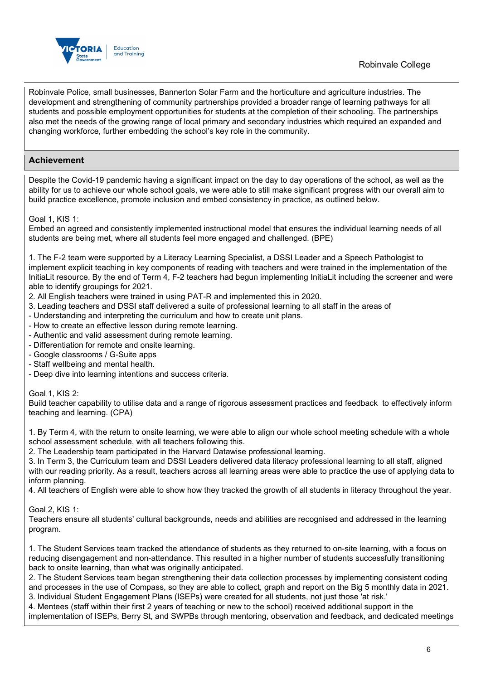

Robinvale Police, small businesses, Bannerton Solar Farm and the horticulture and agriculture industries. The development and strengthening of community partnerships provided a broader range of learning pathways for all students and possible employment opportunities for students at the completion of their schooling. The partnerships also met the needs of the growing range of local primary and secondary industries which required an expanded and changing workforce, further embedding the school's key role in the community.

### **Achievement**

Despite the Covid-19 pandemic having a significant impact on the day to day operations of the school, as well as the ability for us to achieve our whole school goals, we were able to still make significant progress with our overall aim to build practice excellence, promote inclusion and embed consistency in practice, as outlined below.

Goal 1, KIS 1:

Embed an agreed and consistently implemented instructional model that ensures the individual learning needs of all students are being met, where all students feel more engaged and challenged. (BPE)

1. The F-2 team were supported by a Literacy Learning Specialist, a DSSI Leader and a Speech Pathologist to implement explicit teaching in key components of reading with teachers and were trained in the implementation of the InitiaLit resource. By the end of Term 4, F-2 teachers had begun implementing InitiaLit including the screener and were able to identify groupings for 2021.

- 2. All English teachers were trained in using PAT-R and implemented this in 2020.
- 3. Leading teachers and DSSI staff delivered a suite of professional learning to all staff in the areas of
- Understanding and interpreting the curriculum and how to create unit plans.
- How to create an effective lesson during remote learning.
- Authentic and valid assessment during remote learning.
- Differentiation for remote and onsite learning.
- Google classrooms / G-Suite apps
- Staff wellbeing and mental health.
- Deep dive into learning intentions and success criteria.

Goal 1, KIS 2:

Build teacher capability to utilise data and a range of rigorous assessment practices and feedback to effectively inform teaching and learning. (CPA)

1. By Term 4, with the return to onsite learning, we were able to align our whole school meeting schedule with a whole school assessment schedule, with all teachers following this.

2. The Leadership team participated in the Harvard Datawise professional learning.

3. In Term 3, the Curriculum team and DSSI Leaders delivered data literacy professional learning to all staff, aligned with our reading priority. As a result, teachers across all learning areas were able to practice the use of applying data to inform planning.

4. All teachers of English were able to show how they tracked the growth of all students in literacy throughout the year.

Goal 2, KIS 1:

Teachers ensure all students' cultural backgrounds, needs and abilities are recognised and addressed in the learning program.

1. The Student Services team tracked the attendance of students as they returned to on-site learning, with a focus on reducing disengagement and non-attendance. This resulted in a higher number of students successfully transitioning back to onsite learning, than what was originally anticipated.

2. The Student Services team began strengthening their data collection processes by implementing consistent coding and processes in the use of Compass, so they are able to collect, graph and report on the Big 5 monthly data in 2021. 3. Individual Student Engagement Plans (ISEPs) were created for all students, not just those 'at risk.'

4. Mentees (staff within their first 2 years of teaching or new to the school) received additional support in the implementation of ISEPs, Berry St, and SWPBs through mentoring, observation and feedback, and dedicated meetings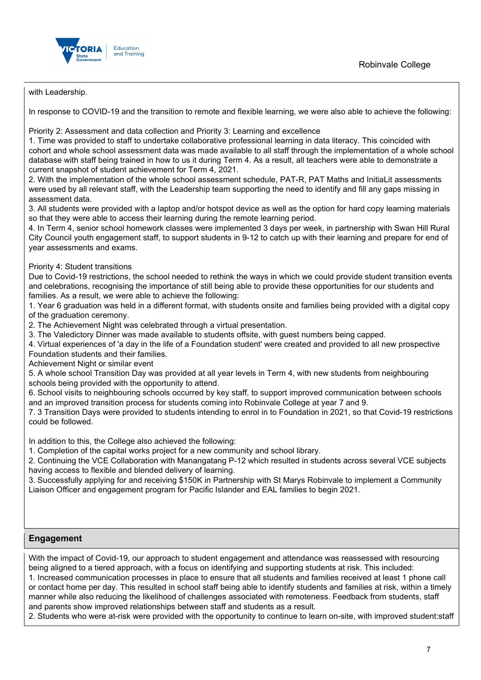

with Leadership.

In response to COVID-19 and the transition to remote and flexible learning, we were also able to achieve the following:

Priority 2: Assessment and data collection and Priority 3: Learning and excellence

1. Time was provided to staff to undertake collaborative professional learning in data literacy. This coincided with cohort and whole school assessment data was made available to all staff through the implementation of a whole school database with staff being trained in how to us it during Term 4. As a result, all teachers were able to demonstrate a current snapshot of student achievement for Term 4, 2021.

2. With the implementation of the whole school assessment schedule, PAT-R, PAT Maths and InitiaLit assessments were used by all relevant staff, with the Leadership team supporting the need to identify and fill any gaps missing in assessment data.

3. All students were provided with a laptop and/or hotspot device as well as the option for hard copy learning materials so that they were able to access their learning during the remote learning period.

4. In Term 4, senior school homework classes were implemented 3 days per week, in partnership with Swan Hill Rural City Council youth engagement staff, to support students in 9-12 to catch up with their learning and prepare for end of year assessments and exams.

Priority 4: Student transitions

Due to Covid-19 restrictions, the school needed to rethink the ways in which we could provide student transition events and celebrations, recognising the importance of still being able to provide these opportunities for our students and families. As a result, we were able to achieve the following:

1. Year 6 graduation was held in a different format, with students onsite and families being provided with a digital copy of the graduation ceremony.

2. The Achievement Night was celebrated through a virtual presentation.

3. The Valedictory Dinner was made available to students offsite, with guest numbers being capped.

4. Virtual experiences of 'a day in the life of a Foundation student' were created and provided to all new prospective Foundation students and their families.

Achievement Night or similar event

5. A whole school Transition Day was provided at all year levels in Term 4, with new students from neighbouring schools being provided with the opportunity to attend.

6. School visits to neighbouring schools occurred by key staff, to support improved communication between schools and an improved transition process for students coming into Robinvale College at year 7 and 9.

7. 3 Transition Days were provided to students intending to enrol in to Foundation in 2021, so that Covid-19 restrictions could be followed.

In addition to this, the College also achieved the following:

1. Completion of the capital works project for a new community and school library.

2. Continuing the VCE Collaboration with Manangatang P-12 which resulted in students across several VCE subjects having access to flexible and blended delivery of learning.

3. Successfully applying for and receiving \$150K in Partnership with St Marys Robinvale to implement a Community Liaison Officer and engagement program for Pacific Islander and EAL families to begin 2021.

#### **Engagement**

With the impact of Covid-19, our approach to student engagement and attendance was reassessed with resourcing being aligned to a tiered approach, with a focus on identifying and supporting students at risk. This included:

1. Increased communication processes in place to ensure that all students and families received at least 1 phone call or contact home per day. This resulted in school staff being able to identify students and families at risk, within a timely manner while also reducing the likelihood of challenges associated with remoteness. Feedback from students, staff and parents show improved relationships between staff and students as a result.

2. Students who were at-risk were provided with the opportunity to continue to learn on-site, with improved student:staff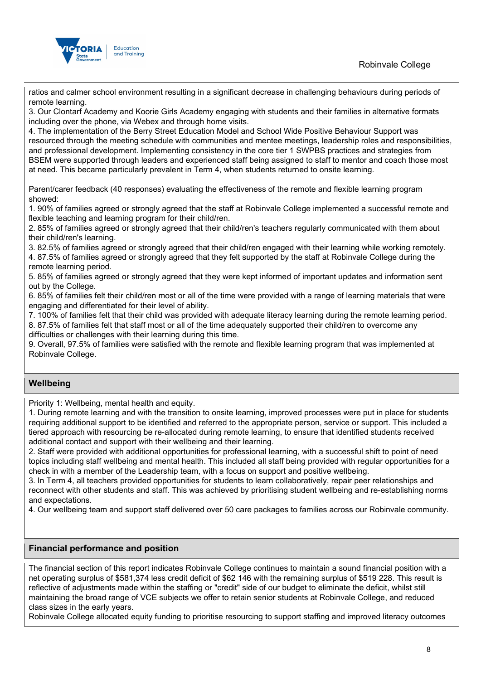

ratios and calmer school environment resulting in a significant decrease in challenging behaviours during periods of remote learning.

3. Our Clontarf Academy and Koorie Girls Academy engaging with students and their families in alternative formats including over the phone, via Webex and through home visits.

4. The implementation of the Berry Street Education Model and School Wide Positive Behaviour Support was resourced through the meeting schedule with communities and mentee meetings, leadership roles and responsibilities, and professional development. Implementing consistency in the core tier 1 SWPBS practices and strategies from BSEM were supported through leaders and experienced staff being assigned to staff to mentor and coach those most at need. This became particularly prevalent in Term 4, when students returned to onsite learning.

Parent/carer feedback (40 responses) evaluating the effectiveness of the remote and flexible learning program showed:

1. 90% of families agreed or strongly agreed that the staff at Robinvale College implemented a successful remote and flexible teaching and learning program for their child/ren.

2. 85% of families agreed or strongly agreed that their child/ren's teachers regularly communicated with them about their child/ren's learning.

3. 82.5% of families agreed or strongly agreed that their child/ren engaged with their learning while working remotely.

4. 87.5% of families agreed or strongly agreed that they felt supported by the staff at Robinvale College during the remote learning period.

5. 85% of families agreed or strongly agreed that they were kept informed of important updates and information sent out by the College.

6. 85% of families felt their child/ren most or all of the time were provided with a range of learning materials that were engaging and differentiated for their level of ability.

7. 100% of families felt that their child was provided with adequate literacy learning during the remote learning period. 8. 87.5% of families felt that staff most or all of the time adequately supported their child/ren to overcome any difficulties or challenges with their learning during this time.

9. Overall, 97.5% of families were satisfied with the remote and flexible learning program that was implemented at Robinvale College.

## **Wellbeing**

Priority 1: Wellbeing, mental health and equity.

1. During remote learning and with the transition to onsite learning, improved processes were put in place for students requiring additional support to be identified and referred to the appropriate person, service or support. This included a tiered approach with resourcing be re-allocated during remote learning, to ensure that identified students received additional contact and support with their wellbeing and their learning.

2. Staff were provided with additional opportunities for professional learning, with a successful shift to point of need topics including staff wellbeing and mental health. This included all staff being provided with regular opportunities for a check in with a member of the Leadership team, with a focus on support and positive wellbeing.

3. In Term 4, all teachers provided opportunities for students to learn collaboratively, repair peer relationships and reconnect with other students and staff. This was achieved by prioritising student wellbeing and re-establishing norms and expectations.

4. Our wellbeing team and support staff delivered over 50 care packages to families across our Robinvale community.

#### **Financial performance and position**

The financial section of this report indicates Robinvale College continues to maintain a sound financial position with a net operating surplus of \$581,374 less credit deficit of \$62 146 with the remaining surplus of \$519 228. This result is reflective of adjustments made within the staffing or "credit" side of our budget to eliminate the deficit, whilst still maintaining the broad range of VCE subjects we offer to retain senior students at Robinvale College, and reduced class sizes in the early years.

Robinvale College allocated equity funding to prioritise resourcing to support staffing and improved literacy outcomes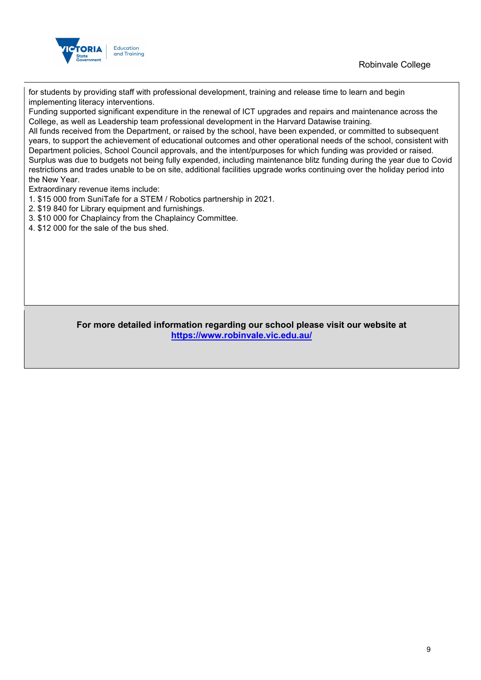



for students by providing staff with professional development, training and release time to learn and begin implementing literacy interventions.

Funding supported significant expenditure in the renewal of ICT upgrades and repairs and maintenance across the College, as well as Leadership team professional development in the Harvard Datawise training.

All funds received from the Department, or raised by the school, have been expended, or committed to subsequent years, to support the achievement of educational outcomes and other operational needs of the school, consistent with Department policies, School Council approvals, and the intent/purposes for which funding was provided or raised. Surplus was due to budgets not being fully expended, including maintenance blitz funding during the year due to Covid restrictions and trades unable to be on site, additional facilities upgrade works continuing over the holiday period into the New Year.

Extraordinary revenue items include:

- 1. \$15 000 from SuniTafe for a STEM / Robotics partnership in 2021.
- 2. \$19 840 for Library equipment and furnishings.
- 3. \$10 000 for Chaplaincy from the Chaplaincy Committee.
- 4. \$12 000 for the sale of the bus shed.

#### **For more detailed information regarding our school please visit our website at <https://www.robinvale.vic.edu.au/>**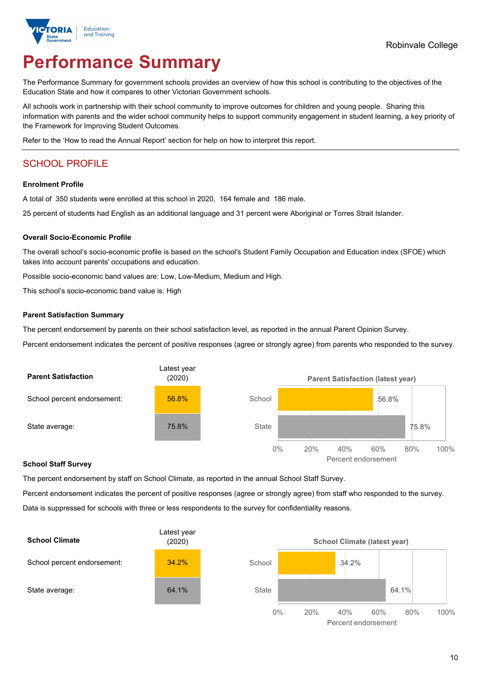

# **Performance Summary**

The Performance Summary for government schools provides an overview of how this school is contributing to the objectives of the Education State and how it compares to other Victorian Government schools.

All schools work in partnership with their school community to improve outcomes for children and young people. Sharing this information with parents and the wider school community helps to support community engagement in student learning, a key priority of the Framework for Improving Student Outcomes.

Refer to the 'How to read the Annual Report' section for help on how to interpret this report.

## SCHOOL PROFILE

#### **Enrolment Profile**

A total of 350 students were enrolled at this school in 2020, 164 female and 186 male.

25 percent of students had English as an additional language and 31 percent were Aboriginal or Torres Strait Islander.

#### **Overall Socio-Economic Profile**

The overall school's socio-economic profile is based on the school's Student Family Occupation and Education index (SFOE) which takes into account parents' occupations and education.

Possible socio-economic band values are: Low, Low-Medium, Medium and High.

This school's socio-economic band value is: High

#### **Parent Satisfaction Summary**

The percent endorsement by parents on their school satisfaction level, as reported in the annual Parent Opinion Survey.

Percent endorsement indicates the percent of positive responses (agree or strongly agree) from parents who responded to the survey.



#### **School Staff Survey**

The percent endorsement by staff on School Climate, as reported in the annual School Staff Survey.

Percent endorsement indicates the percent of positive responses (agree or strongly agree) from staff who responded to the survey. Data is suppressed for schools with three or less respondents to the survey for confidentiality reasons.



Percent endorsement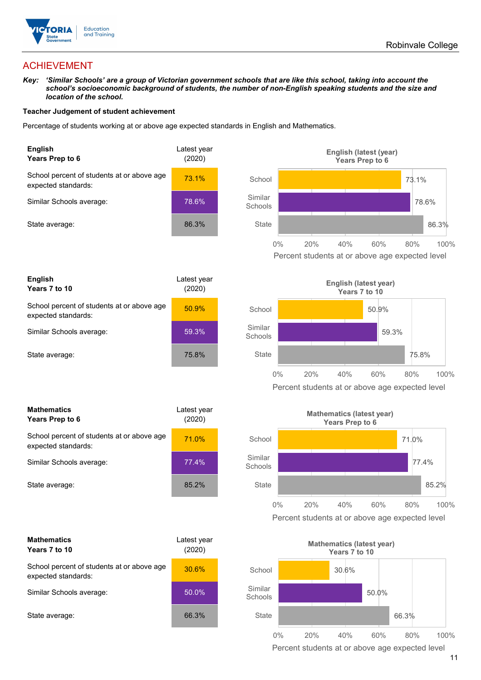

## ACHIEVEMENT

*Key: 'Similar Schools' are a group of Victorian government schools that are like this school, taking into account the school's socioeconomic background of students, the number of non-English speaking students and the size and location of the school.*

#### **Teacher Judgement of student achievement**

Percentage of students working at or above age expected standards in English and Mathematics.



| <b>English</b><br>Years 7 to 10                                   | Latest year<br>(2020) |
|-------------------------------------------------------------------|-----------------------|
| School percent of students at or above age<br>expected standards: | 50.9%                 |
| Similar Schools average:                                          | 59.3%                 |
| State average:                                                    | 75.8%                 |

| <b>Mathematics</b><br>Years Prep to 6                             | Latest year<br>(2020) |
|-------------------------------------------------------------------|-----------------------|
| School percent of students at or above age<br>expected standards: | <b>71.0%</b>          |
| Similar Schools average:                                          | 77.4%                 |
| State average:                                                    | 85.2%                 |

| <b>Mathematics</b><br>Years 7 to 10                               | Latest vear<br>(2020) |  |
|-------------------------------------------------------------------|-----------------------|--|
| School percent of students at or above age<br>expected standards: | 30.6%                 |  |
| Similar Schools average:                                          | 50.0%                 |  |
| State average:                                                    | 66.3%                 |  |





Percent students at or above age expected level



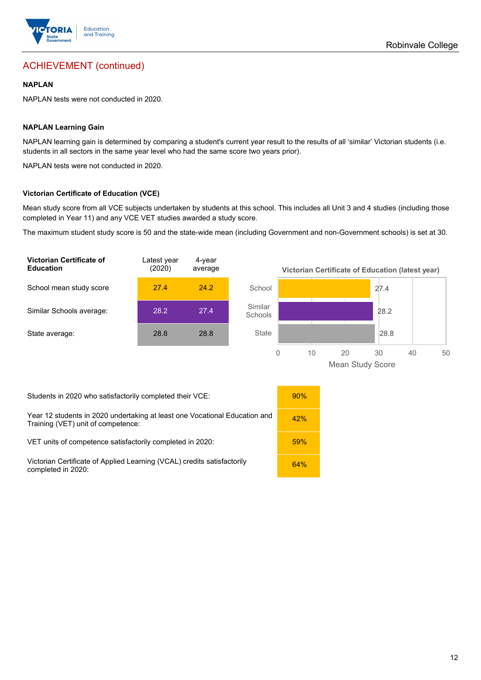

## ACHIEVEMENT (continued)

#### **NAPLAN**

NAPLAN tests were not conducted in 2020.

#### **NAPLAN Learning Gain**

NAPLAN learning gain is determined by comparing a student's current year result to the results of all 'similar' Victorian students (i.e. students in all sectors in the same year level who had the same score two years prior).

NAPLAN tests were not conducted in 2020.

#### **Victorian Certificate of Education (VCE)**

Mean study score from all VCE subjects undertaken by students at this school. This includes all Unit 3 and 4 studies (including those completed in Year 11) and any VCE VET studies awarded a study score.

The maximum student study score is 50 and the state-wide mean (including Government and non-Government schools) is set at 30.



Mean Study Score

Students in 2020 who satisfactorily completed their VCE: 90%

Year 12 students in 2020 undertaking at least one Vocational Education and Year 12 students in 2020 undertaking at least one Vocational Education and the state of the state of the straining (VET) unit of competence:

VET units of competence satisfactorily completed in 2020: 59%

Victorian Certificate of Applied Learning (VCAL) credits satisfactorily in the completed in 2020:

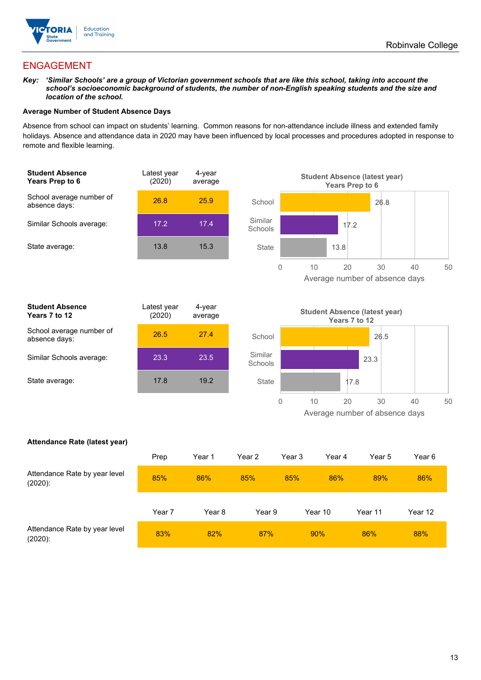

## ENGAGEMENT

#### *Key: 'Similar Schools' are a group of Victorian government schools that are like this school, taking into account the school's socioeconomic background of students, the number of non-English speaking students and the size and location of the school.*

#### **Average Number of Student Absence Days**

Absence from school can impact on students' learning. Common reasons for non-attendance include illness and extended family holidays. Absence and attendance data in 2020 may have been influenced by local processes and procedures adopted in response to remote and flexible learning.



| <b>Student Absence</b><br>Years 7 to 12   | Latest year<br>(2020) | 4-year<br>average |  |
|-------------------------------------------|-----------------------|-------------------|--|
| School average number of<br>absence days: | 26.5                  | 27.4              |  |
| Similar Schools average:                  | 23.3                  | 23.5              |  |
| State average:                            | 17.8                  | 19.2              |  |
|                                           |                       |                   |  |



#### **Attendance Rate (latest year)**

|                                             | Prep   | Year 1 | Year 2 | Year 3 | Year 4  | Year 5  | Year 6  |
|---------------------------------------------|--------|--------|--------|--------|---------|---------|---------|
| Attendance Rate by year level<br>$(2020)$ : | 85%    | 86%    | 85%    | 85%    | 86%     | 89%     | 86%     |
|                                             | Year 7 | Year 8 | Year 9 |        | Year 10 | Year 11 | Year 12 |
| Attendance Rate by year level<br>$(2020)$ : | 83%    | 82%    | 87%    |        | 90%     | 86%     | 88%     |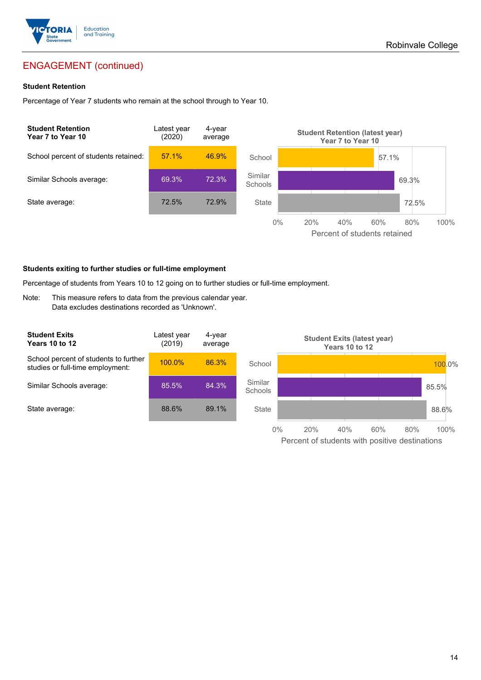

## ENGAGEMENT (continued)

#### **Student Retention**

Percentage of Year 7 students who remain at the school through to Year 10.



#### **Students exiting to further studies or full-time employment**

Percentage of students from Years 10 to 12 going on to further studies or full-time employment.

Note: This measure refers to data from the previous calendar year. Data excludes destinations recorded as 'Unknown'.

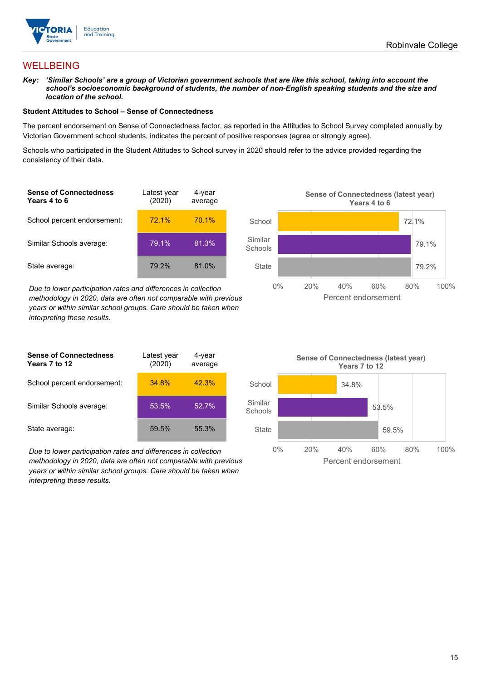

## **WELLBEING**

*Key: 'Similar Schools' are a group of Victorian government schools that are like this school, taking into account the school's socioeconomic background of students, the number of non-English speaking students and the size and location of the school.*

#### **Student Attitudes to School – Sense of Connectedness**

The percent endorsement on Sense of Connectedness factor, as reported in the Attitudes to School Survey completed annually by Victorian Government school students, indicates the percent of positive responses (agree or strongly agree).

Schools who participated in the Student Attitudes to School survey in 2020 should refer to the advice provided regarding the consistency of their data.

| <b>Sense of Connectedness</b><br>Years 4 to 6 | Latest year<br>(2020) | 4-year<br>average |  |
|-----------------------------------------------|-----------------------|-------------------|--|
| School percent endorsement:                   | 72.1%                 | 70.1%             |  |
| Similar Schools average:                      | 79.1%                 | 81.3%             |  |
| State average:                                | 79.2%                 | 81.0%             |  |

*Due to lower participation rates and differences in collection methodology in 2020, data are often not comparable with previous years or within similar school groups. Care should be taken when interpreting these results.*

| <b>Sense of Connectedness</b><br>Years 7 to 12 | Latest year<br>(2020) | 4-year<br>average |  |
|------------------------------------------------|-----------------------|-------------------|--|
| School percent endorsement:                    | 34.8%                 | 42.3%             |  |
| Similar Schools average:                       | 53.5%                 | 52.7%             |  |
| State average:                                 | 59.5%                 | 55.3%             |  |

*Due to lower participation rates and differences in collection methodology in 2020, data are often not comparable with previous years or within similar school groups. Care should be taken when interpreting these results.*



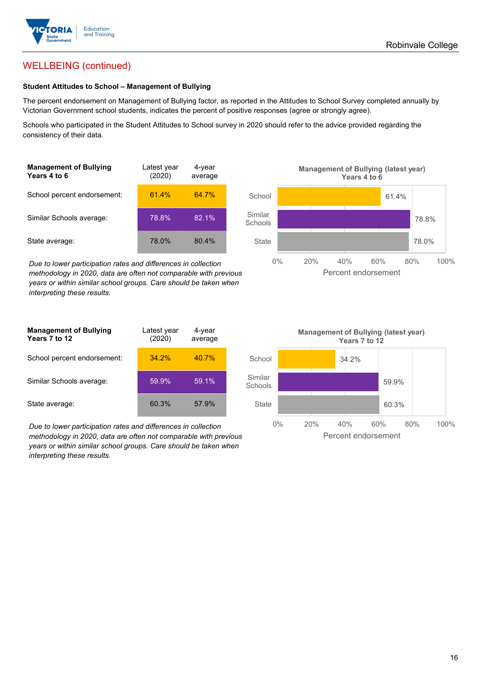

## WELLBEING (continued)

#### **Student Attitudes to School – Management of Bullying**

The percent endorsement on Management of Bullying factor, as reported in the Attitudes to School Survey completed annually by Victorian Government school students, indicates the percent of positive responses (agree or strongly agree).

Schools who participated in the Student Attitudes to School survey in 2020 should refer to the advice provided regarding the consistency of their data.

| <b>Management of Bullying</b><br><b>Years 4 to 6</b> | Latest year<br>(2020) | 4-year<br>average |  |
|------------------------------------------------------|-----------------------|-------------------|--|
| School percent endorsement:                          | 61.4%                 | 64.7%             |  |
| Similar Schools average:                             | 78.8%                 | 82.1%             |  |
| State average:                                       | 78.0%                 | 80.4%             |  |

*Due to lower participation rates and differences in collection methodology in 2020, data are often not comparable with previous years or within similar school groups. Care should be taken when interpreting these results.*



| <b>Management of Bullying</b><br>Years 7 to 12 | Latest year<br>(2020) | 4-year<br>average |  |
|------------------------------------------------|-----------------------|-------------------|--|
| School percent endorsement:                    | 34.2%                 | $40.7\%$          |  |
| Similar Schools average:                       | 59.9%                 | 59.1%             |  |
| State average:                                 | 60.3%                 | 57.9%             |  |

*Due to lower participation rates and differences in collection methodology in 2020, data are often not comparable with previous years or within similar school groups. Care should be taken when interpreting these results.*

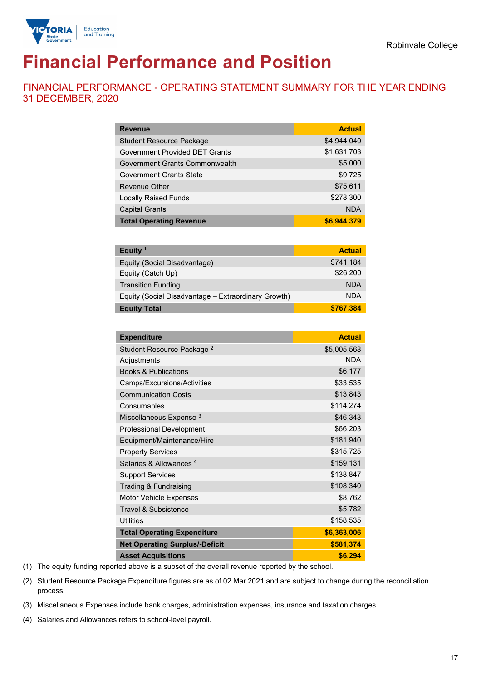



# **Financial Performance and Position**

FINANCIAL PERFORMANCE - OPERATING STATEMENT SUMMARY FOR THE YEAR ENDING 31 DECEMBER, 2020

| <b>Revenue</b>                        | <b>Actual</b> |
|---------------------------------------|---------------|
| <b>Student Resource Package</b>       | \$4,944,040   |
| <b>Government Provided DET Grants</b> | \$1,631,703   |
| Government Grants Commonwealth        | \$5,000       |
| <b>Government Grants State</b>        | \$9,725       |
| <b>Revenue Other</b>                  | \$75,611      |
| <b>Locally Raised Funds</b>           | \$278,300     |
| <b>Capital Grants</b>                 | <b>NDA</b>    |
| <b>Total Operating Revenue</b>        | \$6,944,379   |

| Equity <sup>1</sup>                                 | <b>Actual</b> |
|-----------------------------------------------------|---------------|
| Equity (Social Disadvantage)                        | \$741,184     |
| Equity (Catch Up)                                   | \$26,200      |
| <b>Transition Funding</b>                           | <b>NDA</b>    |
| Equity (Social Disadvantage - Extraordinary Growth) | <b>NDA</b>    |
| <b>Equity Total</b>                                 | \$767,384     |

| <b>Expenditure</b>                    | <b>Actual</b> |
|---------------------------------------|---------------|
| Student Resource Package <sup>2</sup> | \$5,005,568   |
| Adjustments                           | <b>NDA</b>    |
| <b>Books &amp; Publications</b>       | \$6,177       |
| Camps/Excursions/Activities           | \$33,535      |
| <b>Communication Costs</b>            | \$13,843      |
| Consumables                           | \$114,274     |
| Miscellaneous Expense <sup>3</sup>    | \$46,343      |
| <b>Professional Development</b>       | \$66,203      |
| Equipment/Maintenance/Hire            | \$181,940     |
| <b>Property Services</b>              | \$315,725     |
| Salaries & Allowances <sup>4</sup>    | \$159,131     |
| <b>Support Services</b>               | \$138,847     |
| Trading & Fundraising                 | \$108,340     |
| Motor Vehicle Expenses                | \$8,762       |
| <b>Travel &amp; Subsistence</b>       | \$5,782       |
| <b>Utilities</b>                      | \$158,535     |
| <b>Total Operating Expenditure</b>    | \$6,363,006   |
| <b>Net Operating Surplus/-Deficit</b> | \$581,374     |
| <b>Asset Acquisitions</b>             | \$6,294       |

(1) The equity funding reported above is a subset of the overall revenue reported by the school.

(2) Student Resource Package Expenditure figures are as of 02 Mar 2021 and are subject to change during the reconciliation process.

(3) Miscellaneous Expenses include bank charges, administration expenses, insurance and taxation charges.

(4) Salaries and Allowances refers to school-level payroll.